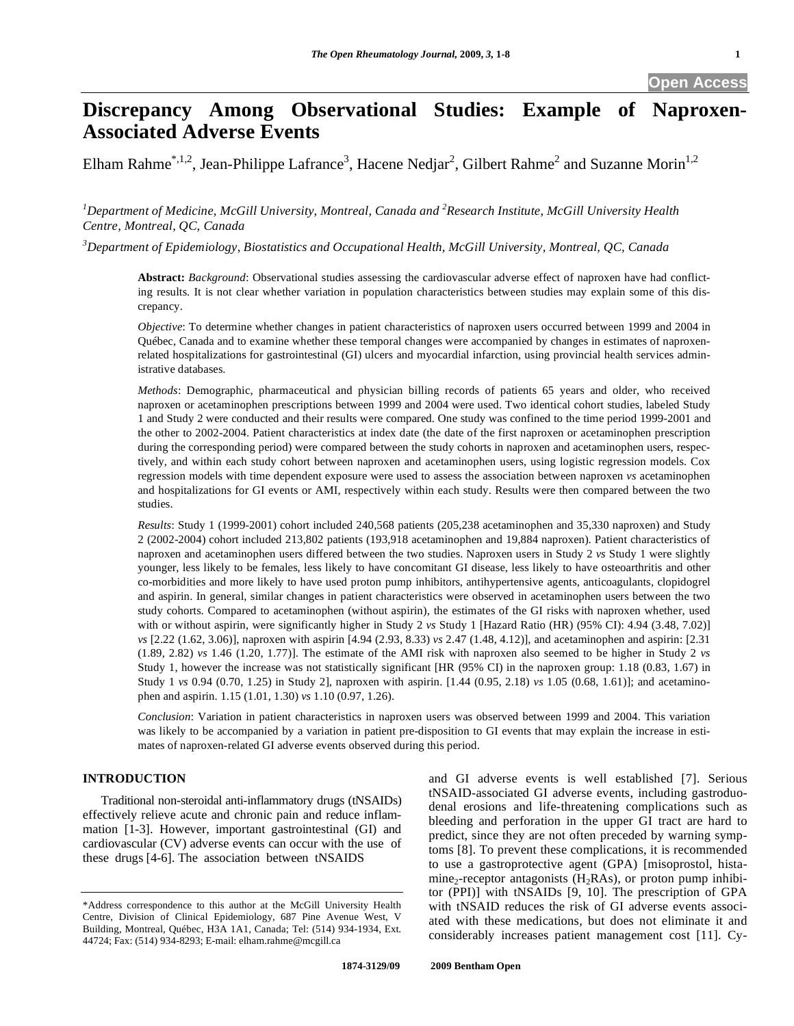# **Discrepancy Among Observational Studies: Example of Naproxen-Associated Adverse Events**

Elham Rahme<sup>\*,1,2</sup>, Jean-Philippe Lafrance<sup>3</sup>, Hacene Nedjar<sup>2</sup>, Gilbert Rahme<sup>2</sup> and Suzanne Morin<sup>1,2</sup>

<sup>1</sup>Department of Medicine, McGill University, Montreal, Canada and <sup>2</sup>Research Institute, McGill University Health *Centre, Montreal, QC, Canada* 

*3 Department of Epidemiology, Biostatistics and Occupational Health, McGill University, Montreal, QC, Canada* 

**Abstract:** *Background*: Observational studies assessing the cardiovascular adverse effect of naproxen have had conflicting results. It is not clear whether variation in population characteristics between studies may explain some of this discrepancy.

*Objective*: To determine whether changes in patient characteristics of naproxen users occurred between 1999 and 2004 in Québec, Canada and to examine whether these temporal changes were accompanied by changes in estimates of naproxenrelated hospitalizations for gastrointestinal (GI) ulcers and myocardial infarction, using provincial health services administrative databases.

*Methods*: Demographic, pharmaceutical and physician billing records of patients 65 years and older, who received naproxen or acetaminophen prescriptions between 1999 and 2004 were used. Two identical cohort studies, labeled Study 1 and Study 2 were conducted and their results were compared. One study was confined to the time period 1999-2001 and the other to 2002-2004. Patient characteristics at index date (the date of the first naproxen or acetaminophen prescription during the corresponding period) were compared between the study cohorts in naproxen and acetaminophen users, respectively, and within each study cohort between naproxen and acetaminophen users, using logistic regression models. Cox regression models with time dependent exposure were used to assess the association between naproxen *vs* acetaminophen and hospitalizations for GI events or AMI, respectively within each study. Results were then compared between the two studies.

*Results*: Study 1 (1999-2001) cohort included 240,568 patients (205,238 acetaminophen and 35,330 naproxen) and Study 2 (2002-2004) cohort included 213,802 patients (193,918 acetaminophen and 19,884 naproxen). Patient characteristics of naproxen and acetaminophen users differed between the two studies. Naproxen users in Study 2 *vs* Study 1 were slightly younger, less likely to be females, less likely to have concomitant GI disease, less likely to have osteoarthritis and other co-morbidities and more likely to have used proton pump inhibitors, antihypertensive agents, anticoagulants, clopidogrel and aspirin. In general, similar changes in patient characteristics were observed in acetaminophen users between the two study cohorts. Compared to acetaminophen (without aspirin), the estimates of the GI risks with naproxen whether, used with or without aspirin, were significantly higher in Study 2 *vs* Study 1 [Hazard Ratio (HR) (95% CI): 4.94 (3.48, 7.02)] *vs* [2.22 (1.62, 3.06)], naproxen with aspirin [4.94 (2.93, 8.33) *vs* 2.47 (1.48, 4.12)], and acetaminophen and aspirin: [2.31 (1.89, 2.82) *vs* 1.46 (1.20, 1.77)]. The estimate of the AMI risk with naproxen also seemed to be higher in Study 2 *vs*  Study 1, however the increase was not statistically significant [HR (95% CI) in the naproxen group: 1.18 (0.83, 1.67) in Study 1 *vs* 0.94 (0.70, 1.25) in Study 2], naproxen with aspirin. [1.44 (0.95, 2.18) *vs* 1.05 (0.68, 1.61)]; and acetaminophen and aspirin. 1.15 (1.01, 1.30) *vs* 1.10 (0.97, 1.26).

*Conclusion*: Variation in patient characteristics in naproxen users was observed between 1999 and 2004. This variation was likely to be accompanied by a variation in patient pre-disposition to GI events that may explain the increase in estimates of naproxen-related GI adverse events observed during this period.

# **INTRODUCTION**

 Traditional non-steroidal anti-inflammatory drugs (tNSAIDs) effectively relieve acute and chronic pain and reduce inflammation [1-3]. However, important gastrointestinal (GI) and cardiovascular (CV) adverse events can occur with the use of these drugs [4-6]. The association between tNSAIDS

and GI adverse events is well established [7]. Serious tNSAID-associated GI adverse events, including gastroduodenal erosions and life-threatening complications such as bleeding and perforation in the upper GI tract are hard to predict, since they are not often preceded by warning symptoms [8]. To prevent these complications, it is recommended to use a gastroprotective agent (GPA) [misoprostol, histamine<sub>2</sub>-receptor antagonists  $(H_2RAs)$ , or proton pump inhibitor (PPI)] with tNSAIDs [9, 10]. The prescription of GPA with tNSAID reduces the risk of GI adverse events associated with these medications, but does not eliminate it and considerably increases patient management cost [11]. Cy-

<sup>\*</sup>Address correspondence to this author at the McGill University Health Centre, Division of Clinical Epidemiology, 687 Pine Avenue West, V Building, Montreal, Québec, H3A 1A1, Canada; Tel: (514) 934-1934, Ext. 44724; Fax: (514) 934-8293; E-mail: elham.rahme@mcgill.ca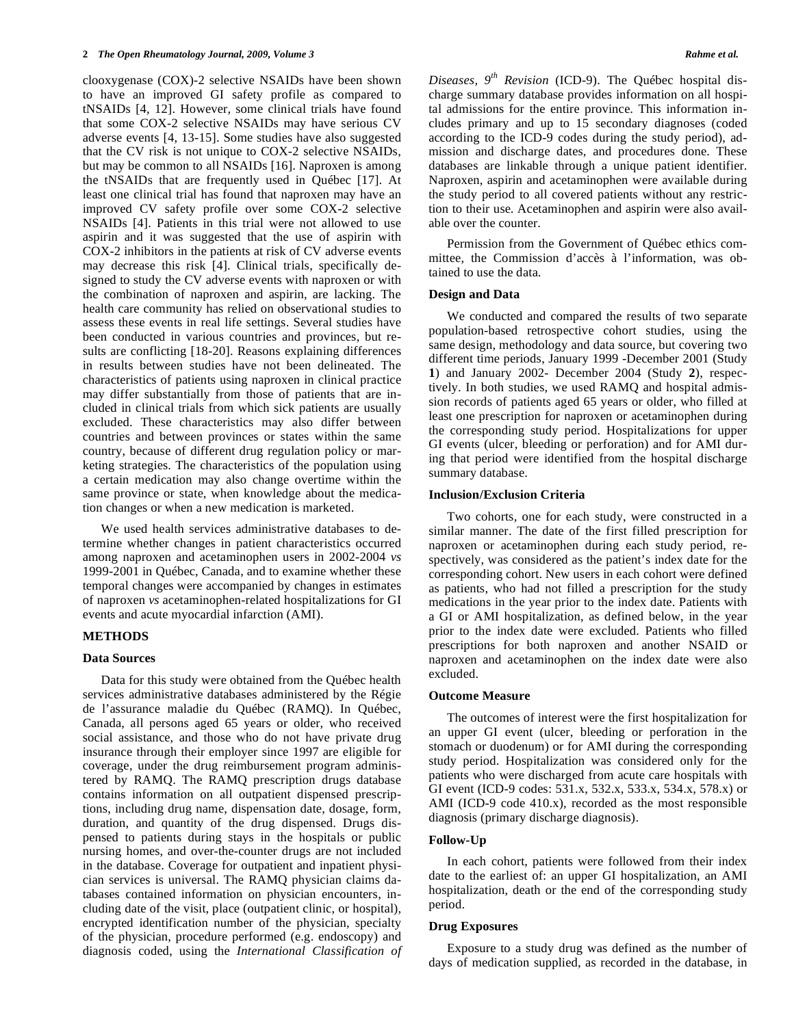clooxygenase (COX)-2 selective NSAIDs have been shown to have an improved GI safety profile as compared to tNSAIDs [4, 12]. However, some clinical trials have found that some COX-2 selective NSAIDs may have serious CV adverse events [4, 13-15]. Some studies have also suggested that the CV risk is not unique to COX-2 selective NSAIDs, but may be common to all NSAIDs [16]. Naproxen is among the tNSAIDs that are frequently used in Québec [17]. At least one clinical trial has found that naproxen may have an improved CV safety profile over some COX-2 selective NSAIDs [4]. Patients in this trial were not allowed to use aspirin and it was suggested that the use of aspirin with COX-2 inhibitors in the patients at risk of CV adverse events may decrease this risk [4]. Clinical trials, specifically designed to study the CV adverse events with naproxen or with the combination of naproxen and aspirin, are lacking. The health care community has relied on observational studies to assess these events in real life settings. Several studies have been conducted in various countries and provinces, but results are conflicting [18-20]. Reasons explaining differences in results between studies have not been delineated. The characteristics of patients using naproxen in clinical practice may differ substantially from those of patients that are included in clinical trials from which sick patients are usually excluded. These characteristics may also differ between countries and between provinces or states within the same country, because of different drug regulation policy or marketing strategies. The characteristics of the population using a certain medication may also change overtime within the same province or state, when knowledge about the medication changes or when a new medication is marketed.

 We used health services administrative databases to determine whether changes in patient characteristics occurred among naproxen and acetaminophen users in 2002-2004 *vs*  1999-2001 in Québec, Canada, and to examine whether these temporal changes were accompanied by changes in estimates of naproxen *vs* acetaminophen-related hospitalizations for GI events and acute myocardial infarction (AMI).

#### **METHODS**

#### **Data Sources**

 Data for this study were obtained from the Québec health services administrative databases administered by the Régie de l'assurance maladie du Québec (RAMQ). In Québec, Canada, all persons aged 65 years or older, who received social assistance, and those who do not have private drug insurance through their employer since 1997 are eligible for coverage, under the drug reimbursement program administered by RAMQ. The RAMQ prescription drugs database contains information on all outpatient dispensed prescriptions, including drug name, dispensation date, dosage, form, duration, and quantity of the drug dispensed. Drugs dispensed to patients during stays in the hospitals or public nursing homes, and over-the-counter drugs are not included in the database. Coverage for outpatient and inpatient physician services is universal. The RAMQ physician claims databases contained information on physician encounters, including date of the visit, place (outpatient clinic, or hospital), encrypted identification number of the physician, specialty of the physician, procedure performed (e.g. endoscopy) and diagnosis coded, using the *International Classification of*  *Diseases, 9th Revision* (ICD-9). The Québec hospital discharge summary database provides information on all hospital admissions for the entire province. This information includes primary and up to 15 secondary diagnoses (coded according to the ICD-9 codes during the study period), admission and discharge dates, and procedures done. These databases are linkable through a unique patient identifier. Naproxen, aspirin and acetaminophen were available during the study period to all covered patients without any restriction to their use. Acetaminophen and aspirin were also available over the counter.

 Permission from the Government of Québec ethics committee, the Commission d'accès à l'information, was obtained to use the data.

#### **Design and Data**

 We conducted and compared the results of two separate population-based retrospective cohort studies, using the same design, methodology and data source, but covering two different time periods, January 1999 -December 2001 (Study **1**) and January 2002- December 2004 (Study **2**), respectively. In both studies, we used RAMQ and hospital admission records of patients aged 65 years or older, who filled at least one prescription for naproxen or acetaminophen during the corresponding study period. Hospitalizations for upper GI events (ulcer, bleeding or perforation) and for AMI during that period were identified from the hospital discharge summary database.

#### **Inclusion/Exclusion Criteria**

 Two cohorts, one for each study, were constructed in a similar manner. The date of the first filled prescription for naproxen or acetaminophen during each study period, respectively, was considered as the patient's index date for the corresponding cohort. New users in each cohort were defined as patients, who had not filled a prescription for the study medications in the year prior to the index date. Patients with a GI or AMI hospitalization, as defined below, in the year prior to the index date were excluded. Patients who filled prescriptions for both naproxen and another NSAID or naproxen and acetaminophen on the index date were also excluded.

# **Outcome Measure**

 The outcomes of interest were the first hospitalization for an upper GI event (ulcer, bleeding or perforation in the stomach or duodenum) or for AMI during the corresponding study period. Hospitalization was considered only for the patients who were discharged from acute care hospitals with GI event (ICD-9 codes: 531.x, 532.x, 533.x, 534.x, 578.x) or AMI (ICD-9 code 410.x), recorded as the most responsible diagnosis (primary discharge diagnosis).

#### **Follow-Up**

 In each cohort, patients were followed from their index date to the earliest of: an upper GI hospitalization, an AMI hospitalization, death or the end of the corresponding study period.

# **Drug Exposures**

 Exposure to a study drug was defined as the number of days of medication supplied, as recorded in the database, in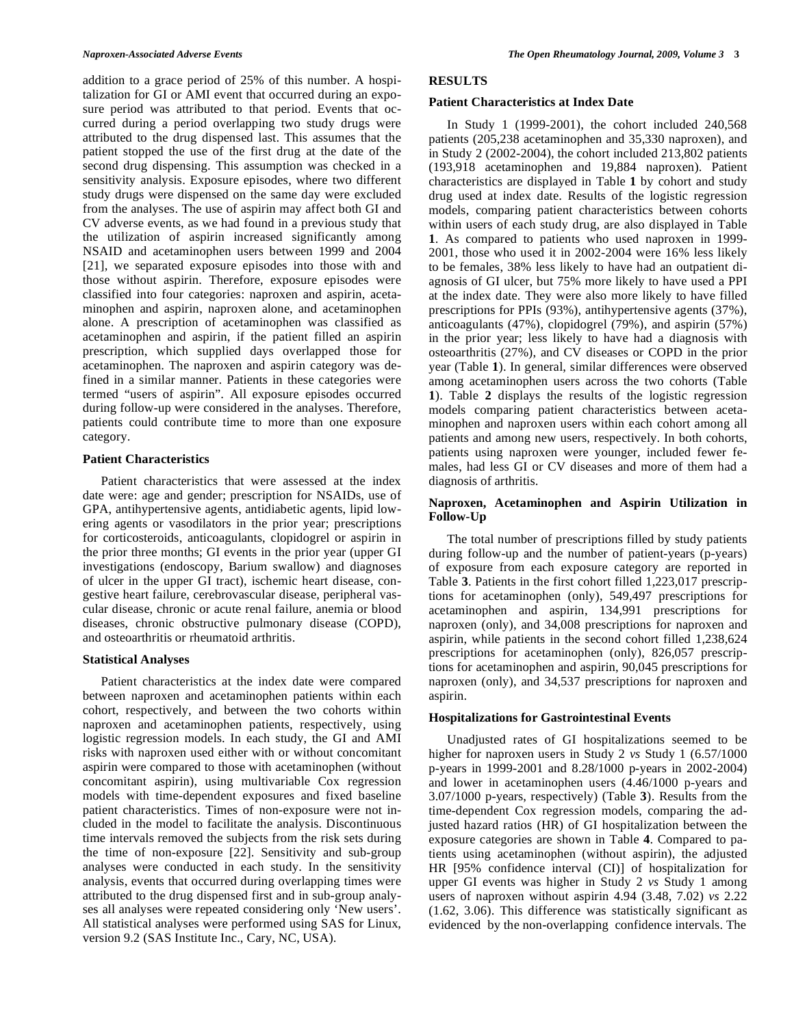addition to a grace period of 25% of this number. A hospitalization for GI or AMI event that occurred during an exposure period was attributed to that period. Events that occurred during a period overlapping two study drugs were attributed to the drug dispensed last. This assumes that the patient stopped the use of the first drug at the date of the second drug dispensing. This assumption was checked in a sensitivity analysis. Exposure episodes, where two different study drugs were dispensed on the same day were excluded from the analyses. The use of aspirin may affect both GI and CV adverse events, as we had found in a previous study that the utilization of aspirin increased significantly among NSAID and acetaminophen users between 1999 and 2004 [21], we separated exposure episodes into those with and those without aspirin. Therefore, exposure episodes were classified into four categories: naproxen and aspirin, acetaminophen and aspirin, naproxen alone, and acetaminophen alone. A prescription of acetaminophen was classified as acetaminophen and aspirin, if the patient filled an aspirin prescription, which supplied days overlapped those for acetaminophen. The naproxen and aspirin category was defined in a similar manner. Patients in these categories were termed "users of aspirin". All exposure episodes occurred during follow-up were considered in the analyses. Therefore, patients could contribute time to more than one exposure category.

# **Patient Characteristics**

 Patient characteristics that were assessed at the index date were: age and gender; prescription for NSAIDs, use of GPA, antihypertensive agents, antidiabetic agents, lipid lowering agents or vasodilators in the prior year; prescriptions for corticosteroids, anticoagulants, clopidogrel or aspirin in the prior three months; GI events in the prior year (upper GI investigations (endoscopy, Barium swallow) and diagnoses of ulcer in the upper GI tract), ischemic heart disease, congestive heart failure, cerebrovascular disease, peripheral vascular disease, chronic or acute renal failure, anemia or blood diseases, chronic obstructive pulmonary disease (COPD), and osteoarthritis or rheumatoid arthritis.

# **Statistical Analyses**

 Patient characteristics at the index date were compared between naproxen and acetaminophen patients within each cohort, respectively, and between the two cohorts within naproxen and acetaminophen patients, respectively, using logistic regression models. In each study, the GI and AMI risks with naproxen used either with or without concomitant aspirin were compared to those with acetaminophen (without concomitant aspirin), using multivariable Cox regression models with time-dependent exposures and fixed baseline patient characteristics. Times of non-exposure were not included in the model to facilitate the analysis. Discontinuous time intervals removed the subjects from the risk sets during the time of non-exposure [22]. Sensitivity and sub-group analyses were conducted in each study. In the sensitivity analysis, events that occurred during overlapping times were attributed to the drug dispensed first and in sub-group analyses all analyses were repeated considering only 'New users'. All statistical analyses were performed using SAS for Linux, version 9.2 (SAS Institute Inc., Cary, NC, USA).

# **RESULTS**

# **Patient Characteristics at Index Date**

 In Study 1 (1999-2001), the cohort included 240,568 patients (205,238 acetaminophen and 35,330 naproxen), and in Study 2 (2002-2004), the cohort included 213,802 patients (193,918 acetaminophen and 19,884 naproxen). Patient characteristics are displayed in Table **1** by cohort and study drug used at index date. Results of the logistic regression models, comparing patient characteristics between cohorts within users of each study drug, are also displayed in Table **1**. As compared to patients who used naproxen in 1999- 2001, those who used it in 2002-2004 were 16% less likely to be females, 38% less likely to have had an outpatient diagnosis of GI ulcer, but 75% more likely to have used a PPI at the index date. They were also more likely to have filled prescriptions for PPIs (93%), antihypertensive agents (37%), anticoagulants (47%), clopidogrel (79%), and aspirin (57%) in the prior year; less likely to have had a diagnosis with osteoarthritis (27%), and CV diseases or COPD in the prior year (Table **1**). In general, similar differences were observed among acetaminophen users across the two cohorts (Table **1**). Table **2** displays the results of the logistic regression models comparing patient characteristics between acetaminophen and naproxen users within each cohort among all patients and among new users, respectively. In both cohorts, patients using naproxen were younger, included fewer females, had less GI or CV diseases and more of them had a diagnosis of arthritis.

# **Naproxen, Acetaminophen and Aspirin Utilization in Follow-Up**

 The total number of prescriptions filled by study patients during follow-up and the number of patient-years (p-years) of exposure from each exposure category are reported in Table **3**. Patients in the first cohort filled 1,223,017 prescriptions for acetaminophen (only), 549,497 prescriptions for acetaminophen and aspirin, 134,991 prescriptions for naproxen (only), and 34,008 prescriptions for naproxen and aspirin, while patients in the second cohort filled 1,238,624 prescriptions for acetaminophen (only), 826,057 prescriptions for acetaminophen and aspirin, 90,045 prescriptions for naproxen (only), and 34,537 prescriptions for naproxen and aspirin.

# **Hospitalizations for Gastrointestinal Events**

 Unadjusted rates of GI hospitalizations seemed to be higher for naproxen users in Study 2 *vs* Study 1 (6.57/1000 p-years in 1999-2001 and 8.28/1000 p-years in 2002-2004) and lower in acetaminophen users (4.46/1000 p-years and 3.07/1000 p-years, respectively) (Table **3**). Results from the time-dependent Cox regression models, comparing the adjusted hazard ratios (HR) of GI hospitalization between the exposure categories are shown in Table **4**. Compared to patients using acetaminophen (without aspirin), the adjusted HR [95% confidence interval (CI)] of hospitalization for upper GI events was higher in Study 2 *vs* Study 1 among users of naproxen without aspirin 4.94 (3.48, 7.02) *vs* 2.22 (1.62, 3.06). This difference was statistically significant as evidenced by the non-overlapping confidence intervals. The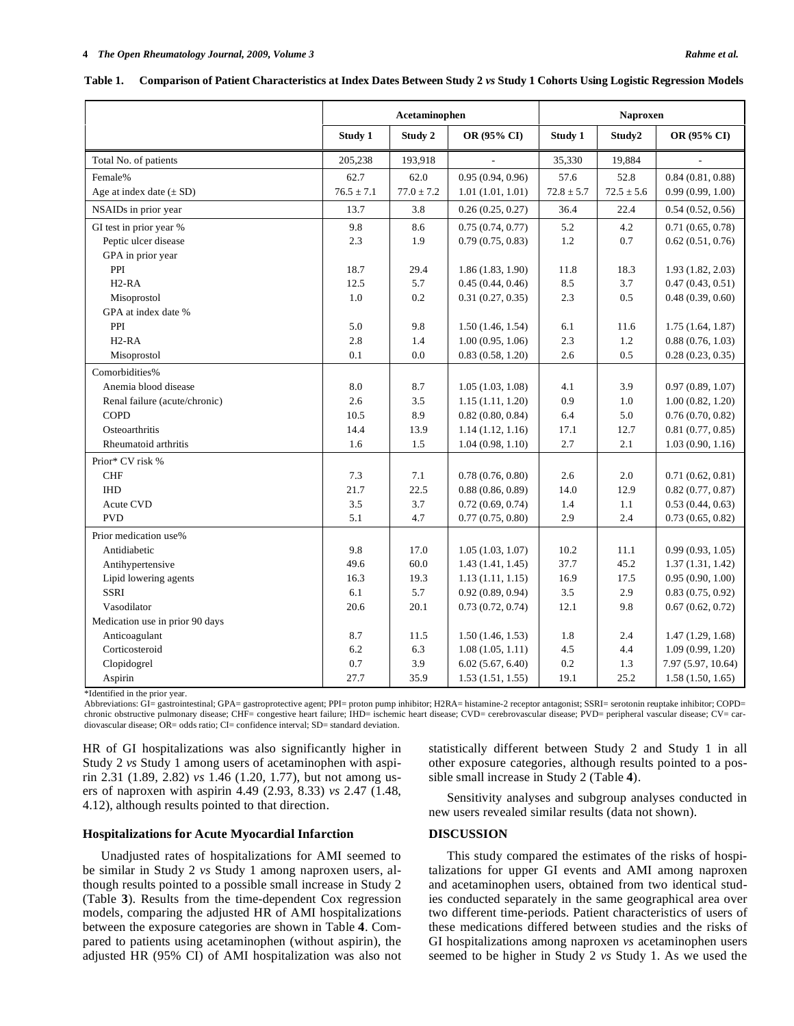|                                 | Acetaminophen  |                |                  | <b>Naproxen</b> |                |                    |
|---------------------------------|----------------|----------------|------------------|-----------------|----------------|--------------------|
|                                 | Study 1        | Study 2        | OR (95% CI)      | Study 1         | Study2         | OR (95% CI)        |
| Total No. of patients           | 205,238        | 193,918        |                  | 35,330          | 19,884         |                    |
| Female%                         | 62.7           | 62.0           | 0.95(0.94, 0.96) | 57.6            | 52.8           | 0.84(0.81, 0.88)   |
| Age at index date $(\pm SD)$    | $76.5 \pm 7.1$ | $77.0 \pm 7.2$ | 1.01(1.01, 1.01) | $72.8 \pm 5.7$  | $72.5 \pm 5.6$ | 0.99(0.99, 1.00)   |
| NSAIDs in prior year            | 13.7           | 3.8            | 0.26(0.25, 0.27) | 36.4            | 22.4           | 0.54(0.52, 0.56)   |
| GI test in prior year %         | 9.8            | 8.6            | 0.75(0.74, 0.77) | 5.2             | 4.2            | 0.71(0.65, 0.78)   |
| Peptic ulcer disease            | 2.3            | 1.9            | 0.79(0.75, 0.83) | 1.2             | 0.7            | 0.62(0.51, 0.76)   |
| GPA in prior year               |                |                |                  |                 |                |                    |
| PPI                             | 18.7           | 29.4           | 1.86(1.83, 1.90) | 11.8            | 18.3           | 1.93(1.82, 2.03)   |
| $H2-RA$                         | 12.5           | 5.7            | 0.45(0.44, 0.46) | 8.5             | 3.7            | 0.47(0.43, 0.51)   |
| Misoprostol                     | 1.0            | 0.2            | 0.31(0.27, 0.35) | 2.3             | 0.5            | 0.48(0.39, 0.60)   |
| GPA at index date %             |                |                |                  |                 |                |                    |
| PPI                             | 5.0            | 9.8            | 1.50(1.46, 1.54) | 6.1             | 11.6           | 1.75(1.64, 1.87)   |
| $H2-RA$                         | 2.8            | 1.4            | 1.00(0.95, 1.06) | 2.3             | 1.2            | 0.88(0.76, 1.03)   |
| Misoprostol                     | 0.1            | 0.0            | 0.83(0.58, 1.20) | 2.6             | 0.5            | 0.28(0.23, 0.35)   |
| Comorbidities%                  |                |                |                  |                 |                |                    |
| Anemia blood disease            | 8.0            | 8.7            | 1.05(1.03, 1.08) | 4.1             | 3.9            | 0.97(0.89, 1.07)   |
| Renal failure (acute/chronic)   | 2.6            | 3.5            | 1.15(1.11, 1.20) | 0.9             | 1.0            | 1.00(0.82, 1.20)   |
| <b>COPD</b>                     | 10.5           | 8.9            | 0.82(0.80, 0.84) | 6.4             | 5.0            | 0.76(0.70, 0.82)   |
| Osteoarthritis                  | 14.4           | 13.9           | 1.14(1.12, 1.16) | 17.1            | 12.7           | 0.81(0.77, 0.85)   |
| Rheumatoid arthritis            | 1.6            | 1.5            | 1.04(0.98, 1.10) | 2.7             | 2.1            | 1.03(0.90, 1.16)   |
| Prior* CV risk %                |                |                |                  |                 |                |                    |
| <b>CHF</b>                      | 7.3            | 7.1            | 0.78(0.76, 0.80) | 2.6             | 2.0            | 0.71(0.62, 0.81)   |
| <b>IHD</b>                      | 21.7           | 22.5           | 0.88(0.86, 0.89) | 14.0            | 12.9           | 0.82(0.77, 0.87)   |
| <b>Acute CVD</b>                | 3.5            | 3.7            | 0.72(0.69, 0.74) | 1.4             | 1.1            | 0.53(0.44, 0.63)   |
| <b>PVD</b>                      | 5.1            | 4.7            | 0.77(0.75, 0.80) | 2.9             | 2.4            | 0.73(0.65, 0.82)   |
| Prior medication use%           |                |                |                  |                 |                |                    |
| Antidiabetic                    | 9.8            | 17.0           | 1.05(1.03, 1.07) | 10.2            | 11.1           | 0.99(0.93, 1.05)   |
| Antihypertensive                | 49.6           | 60.0           | 1.43(1.41, 1.45) | 37.7            | 45.2           | 1.37(1.31, 1.42)   |
| Lipid lowering agents           | 16.3           | 19.3           | 1.13(1.11, 1.15) | 16.9            | 17.5           | 0.95(0.90, 1.00)   |
| <b>SSRI</b>                     | 6.1            | 5.7            | 0.92(0.89, 0.94) | 3.5             | 2.9            | 0.83(0.75, 0.92)   |
| Vasodilator                     | 20.6           | 20.1           | 0.73(0.72, 0.74) | 12.1            | 9.8            | 0.67(0.62, 0.72)   |
| Medication use in prior 90 days |                |                |                  |                 |                |                    |
| Anticoagulant                   | 8.7            | 11.5           | 1.50(1.46, 1.53) | 1.8             | 2.4            | 1.47(1.29, 1.68)   |
| Corticosteroid                  | 6.2            | 6.3            | 1.08(1.05, 1.11) | 4.5             | 4.4            | 1.09(0.99, 1.20)   |
| Clopidogrel                     | 0.7            | 3.9            | 6.02(5.67, 6.40) | $0.2\,$         | 1.3            | 7.97 (5.97, 10.64) |
| Aspirin                         | 27.7           | 35.9           | 1.53(1.51, 1.55) | 19.1            | 25.2           | 1.58(1.50, 1.65)   |

**Table 1. Comparison of Patient Characteristics at Index Dates Between Study 2** *vs* **Study 1 Cohorts Using Logistic Regression Models** 

\*Identified in the prior year.

Abbreviations: GI= gastrointestinal; GPA= gastroprotective agent; PPI= proton pump inhibitor; H2RA= histamine-2 receptor antagonist; SSRI= serotonin reuptake inhibitor; COPD= chronic obstructive pulmonary disease; CHF= congestive heart failure; IHD= ischemic heart disease; CVD= cerebrovascular disease; PVD= peripheral vascular disease; CV= cardiovascular disease; OR= odds ratio; CI= confidence interval; SD= standard deviation.

HR of GI hospitalizations was also significantly higher in Study 2 *vs* Study 1 among users of acetaminophen with aspirin 2.31 (1.89, 2.82) *vs* 1.46 (1.20, 1.77), but not among users of naproxen with aspirin 4.49 (2.93, 8.33) *vs* 2.47 (1.48, 4.12), although results pointed to that direction.

# **Hospitalizations for Acute Myocardial Infarction**

 Unadjusted rates of hospitalizations for AMI seemed to be similar in Study 2 *vs* Study 1 among naproxen users, although results pointed to a possible small increase in Study 2 (Table **3**). Results from the time-dependent Cox regression models, comparing the adjusted HR of AMI hospitalizations between the exposure categories are shown in Table **4**. Compared to patients using acetaminophen (without aspirin), the adjusted HR (95% CI) of AMI hospitalization was also not statistically different between Study 2 and Study 1 in all other exposure categories, although results pointed to a possible small increase in Study 2 (Table **4**).

 Sensitivity analyses and subgroup analyses conducted in new users revealed similar results (data not shown).

# **DISCUSSION**

 This study compared the estimates of the risks of hospitalizations for upper GI events and AMI among naproxen and acetaminophen users, obtained from two identical studies conducted separately in the same geographical area over two different time-periods. Patient characteristics of users of these medications differed between studies and the risks of GI hospitalizations among naproxen *vs* acetaminophen users seemed to be higher in Study 2 *vs* Study 1. As we used the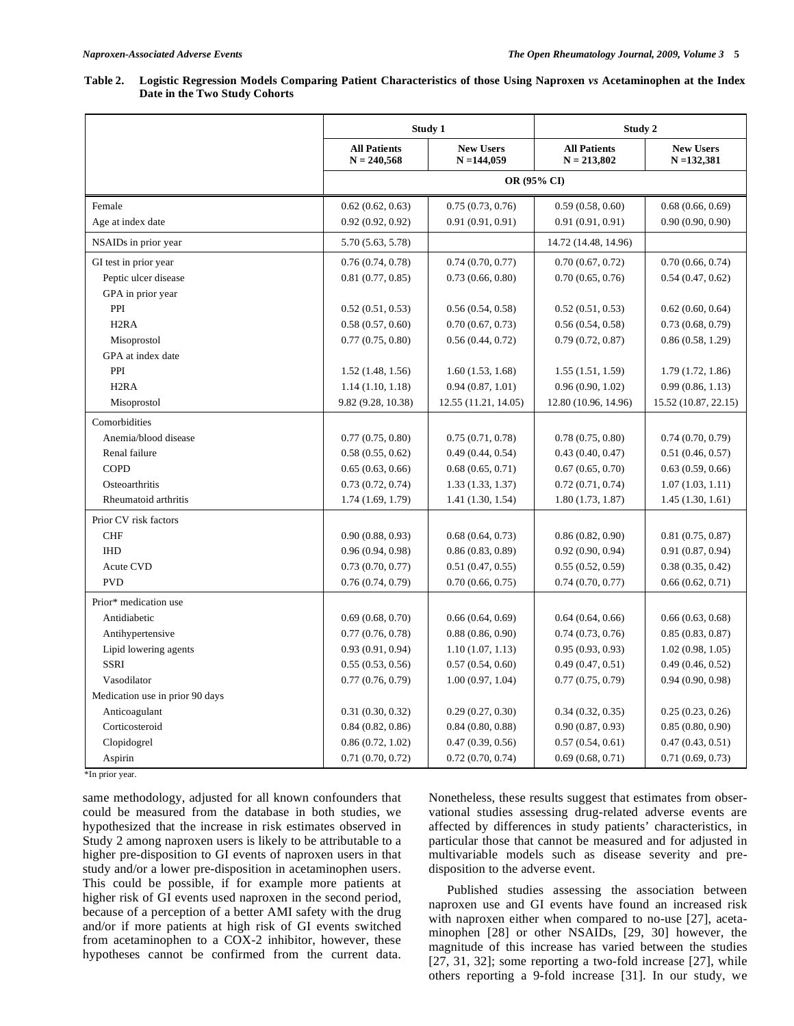| Table 2. Logistic Regression Models Comparing Patient Characteristics of those Using Naproxen vs Acetaminophen at the Index |
|-----------------------------------------------------------------------------------------------------------------------------|
| Date in the Two Study Cohorts                                                                                               |

|                                 |                                      | Study 1                           | Study 2                              |                                   |  |
|---------------------------------|--------------------------------------|-----------------------------------|--------------------------------------|-----------------------------------|--|
|                                 | <b>All Patients</b><br>$N = 240,568$ | <b>New Users</b><br>$N = 144,059$ | <b>All Patients</b><br>$N = 213,802$ | <b>New Users</b><br>$N = 132,381$ |  |
|                                 | OR (95% CI)                          |                                   |                                      |                                   |  |
| Female                          | 0.62(0.62, 0.63)                     | 0.75(0.73, 0.76)                  | 0.59(0.58, 0.60)                     | 0.68(0.66, 0.69)                  |  |
| Age at index date               | 0.92(0.92, 0.92)                     | 0.91(0.91, 0.91)                  | 0.91(0.91, 0.91)                     | 0.90(0.90, 0.90)                  |  |
| NSAIDs in prior year            | 5.70 (5.63, 5.78)                    |                                   | 14.72 (14.48, 14.96)                 |                                   |  |
| GI test in prior year           | 0.76(0.74, 0.78)                     | 0.74(0.70, 0.77)                  | 0.70(0.67, 0.72)                     | 0.70(0.66, 0.74)                  |  |
| Peptic ulcer disease            | 0.81(0.77, 0.85)                     | 0.73(0.66, 0.80)                  | 0.70(0.65, 0.76)                     | 0.54(0.47, 0.62)                  |  |
| GPA in prior year               |                                      |                                   |                                      |                                   |  |
| PPI                             | 0.52(0.51, 0.53)                     | 0.56(0.54, 0.58)                  | 0.52(0.51, 0.53)                     | 0.62(0.60, 0.64)                  |  |
| H <sub>2</sub> RA               | 0.58(0.57, 0.60)                     | 0.70(0.67, 0.73)                  | 0.56(0.54, 0.58)                     | 0.73(0.68, 0.79)                  |  |
| Misoprostol                     | 0.77(0.75, 0.80)                     | 0.56(0.44, 0.72)                  | 0.79(0.72, 0.87)                     | 0.86(0.58, 1.29)                  |  |
| GPA at index date               |                                      |                                   |                                      |                                   |  |
| PPI                             | 1.52(1.48, 1.56)                     | 1.60(1.53, 1.68)                  | 1.55(1.51, 1.59)                     | 1.79(1.72, 1.86)                  |  |
| H <sub>2</sub> RA               | 1.14(1.10, 1.18)                     | 0.94(0.87, 1.01)                  | 0.96(0.90, 1.02)                     | 0.99(0.86, 1.13)                  |  |
| Misoprostol                     | 9.82 (9.28, 10.38)                   | 12.55 (11.21, 14.05)              | 12.80 (10.96, 14.96)                 | 15.52 (10.87, 22.15)              |  |
| Comorbidities                   |                                      |                                   |                                      |                                   |  |
| Anemia/blood disease            | 0.77(0.75, 0.80)                     | 0.75(0.71, 0.78)                  | 0.78(0.75, 0.80)                     | 0.74(0.70, 0.79)                  |  |
| Renal failure                   | 0.58(0.55, 0.62)                     | 0.49(0.44, 0.54)                  | 0.43(0.40, 0.47)                     | 0.51(0.46, 0.57)                  |  |
| <b>COPD</b>                     | 0.65(0.63, 0.66)                     | 0.68(0.65, 0.71)                  | 0.67(0.65, 0.70)                     | 0.63(0.59, 0.66)                  |  |
| Osteoarthritis                  | 0.73(0.72, 0.74)                     | 1.33(1.33, 1.37)                  | 0.72(0.71, 0.74)                     | 1.07(1.03, 1.11)                  |  |
| Rheumatoid arthritis            | 1.74(1.69, 1.79)                     | 1.41(1.30, 1.54)                  | 1.80(1.73, 1.87)                     | 1.45(1.30, 1.61)                  |  |
| Prior CV risk factors           |                                      |                                   |                                      |                                   |  |
| <b>CHF</b>                      | 0.90(0.88, 0.93)                     | 0.68(0.64, 0.73)                  | 0.86(0.82, 0.90)                     | 0.81(0.75, 0.87)                  |  |
| <b>IHD</b>                      | 0.96(0.94, 0.98)                     | 0.86(0.83, 0.89)                  | 0.92(0.90, 0.94)                     | 0.91(0.87, 0.94)                  |  |
| <b>Acute CVD</b>                | 0.73(0.70, 0.77)                     | 0.51(0.47, 0.55)                  | 0.55(0.52, 0.59)                     | 0.38(0.35, 0.42)                  |  |
| <b>PVD</b>                      | 0.76(0.74, 0.79)                     | 0.70(0.66, 0.75)                  | 0.74(0.70, 0.77)                     | 0.66(0.62, 0.71)                  |  |
| Prior* medication use           |                                      |                                   |                                      |                                   |  |
| Antidiabetic                    | 0.69(0.68, 0.70)                     | 0.66(0.64, 0.69)                  | 0.64(0.64, 0.66)                     | 0.66(0.63, 0.68)                  |  |
| Antihypertensive                | 0.77(0.76, 0.78)                     | 0.88(0.86, 0.90)                  | 0.74(0.73, 0.76)                     | 0.85(0.83, 0.87)                  |  |
| Lipid lowering agents           | 0.93(0.91, 0.94)                     | 1.10(1.07, 1.13)                  | 0.95(0.93, 0.93)                     | 1.02(0.98, 1.05)                  |  |
| <b>SSRI</b>                     | 0.55(0.53, 0.56)                     | 0.57(0.54, 0.60)                  | 0.49(0.47, 0.51)                     | 0.49(0.46, 0.52)                  |  |
| Vasodilator                     | 0.77(0.76, 0.79)                     | 1.00(0.97, 1.04)                  | 0.77(0.75, 0.79)                     | 0.94(0.90, 0.98)                  |  |
| Medication use in prior 90 days |                                      |                                   |                                      |                                   |  |
| Anticoagulant                   | 0.31(0.30, 0.32)                     | 0.29(0.27, 0.30)                  | 0.34(0.32, 0.35)                     | 0.25(0.23, 0.26)                  |  |
| Corticosteroid                  | 0.84(0.82, 0.86)                     | 0.84(0.80, 0.88)                  | 0.90(0.87, 0.93)                     | 0.85(0.80, 0.90)                  |  |
| Clopidogrel                     | 0.86(0.72, 1.02)                     | 0.47(0.39, 0.56)                  | 0.57(0.54, 0.61)                     | 0.47(0.43, 0.51)                  |  |
| Aspirin                         | 0.71(0.70, 0.72)                     | 0.72(0.70, 0.74)                  | 0.69(0.68, 0.71)                     | 0.71(0.69, 0.73)                  |  |

\*In prior year.

same methodology, adjusted for all known confounders that could be measured from the database in both studies, we hypothesized that the increase in risk estimates observed in Study 2 among naproxen users is likely to be attributable to a higher pre-disposition to GI events of naproxen users in that study and/or a lower pre-disposition in acetaminophen users. This could be possible, if for example more patients at higher risk of GI events used naproxen in the second period, because of a perception of a better AMI safety with the drug and/or if more patients at high risk of GI events switched from acetaminophen to a COX-2 inhibitor, however, these hypotheses cannot be confirmed from the current data.

Nonetheless, these results suggest that estimates from observational studies assessing drug-related adverse events are affected by differences in study patients' characteristics, in particular those that cannot be measured and for adjusted in multivariable models such as disease severity and predisposition to the adverse event.

 Published studies assessing the association between naproxen use and GI events have found an increased risk with naproxen either when compared to no-use [27], acetaminophen [28] or other NSAIDs, [29, 30] however, the magnitude of this increase has varied between the studies [27, 31, 32]; some reporting a two-fold increase [27], while others reporting a 9-fold increase [31]. In our study, we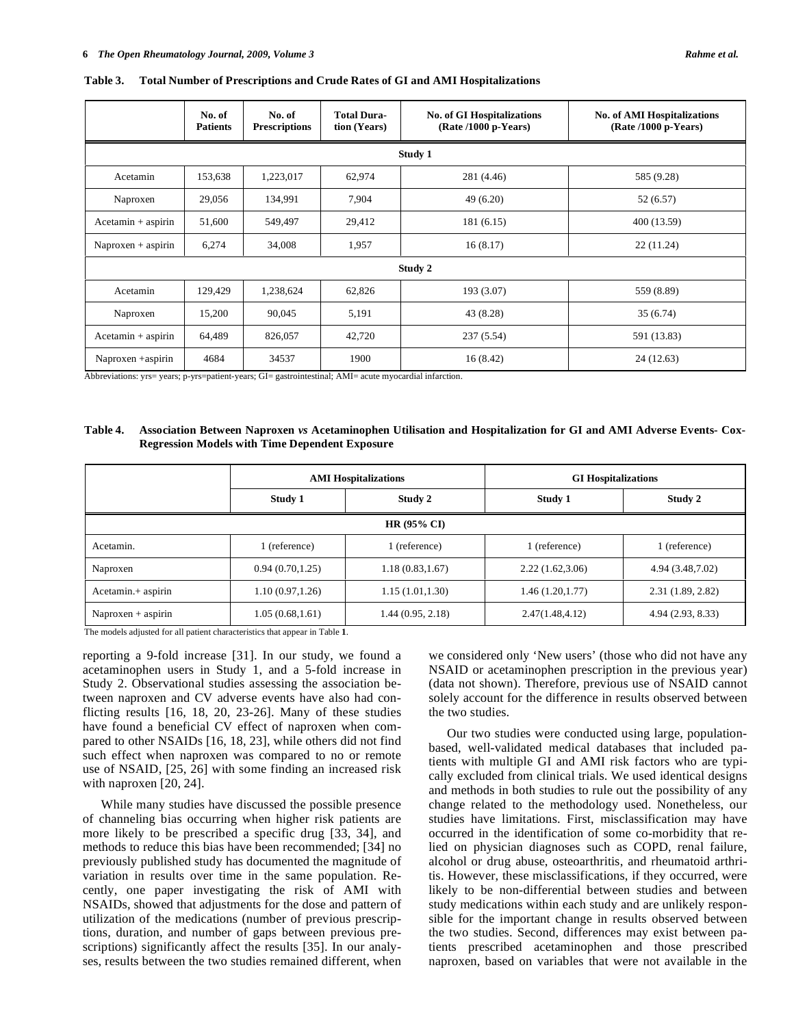|                      | No. of<br><b>Patients</b> | No. of<br><b>Prescriptions</b> | <b>Total Dura-</b><br>tion (Years) | <b>No. of GI Hospitalizations</b><br>(Rate /1000 p-Years) | <b>No. of AMI Hospitalizations</b><br>(Rate /1000 p-Years) |  |  |
|----------------------|---------------------------|--------------------------------|------------------------------------|-----------------------------------------------------------|------------------------------------------------------------|--|--|
| Study 1              |                           |                                |                                    |                                                           |                                                            |  |  |
| Acetamin             | 153,638                   | 1,223,017                      | 62,974                             | 281 (4.46)                                                | 585 (9.28)                                                 |  |  |
| Naproxen             | 29,056                    | 134,991                        | 7,904                              | 49(6.20)                                                  | 52 (6.57)                                                  |  |  |
| $Acetamin + aspirin$ | 51,600                    | 549,497                        | 29,412                             | 181 (6.15)                                                | 400 (13.59)                                                |  |  |
| $Naproxen + aspirin$ | 6,274                     | 34,008                         | 1,957                              | 16(8.17)                                                  | 22(11.24)                                                  |  |  |
| Study 2              |                           |                                |                                    |                                                           |                                                            |  |  |
| Acetamin             | 129,429                   | 1,238,624                      | 62,826                             | 193 (3.07)                                                | 559 (8.89)                                                 |  |  |
| Naproxen             | 15,200                    | 90,045                         | 5,191                              | 43 (8.28)                                                 | 35(6.74)                                                   |  |  |
| $Acetamin + aspirin$ | 64,489                    | 826,057                        | 42,720                             | 237(5.54)                                                 | 591 (13.83)                                                |  |  |
| Naproxen +aspirin    | 4684                      | 34537                          | 1900                               | 16(8.42)                                                  | 24 (12.63)                                                 |  |  |

**Table 3. Total Number of Prescriptions and Crude Rates of GI and AMI Hospitalizations** 

Abbreviations: yrs= years; p-yrs=patient-years; GI= gastrointestinal; AMI= acute myocardial infarction.

#### **Table 4. Association Between Naproxen** *vs* **Acetaminophen Utilisation and Hospitalization for GI and AMI Adverse Events- Cox-Regression Models with Time Dependent Exposure**

|                      |                  | <b>AMI Hospitalizations</b> | <b>GI</b> Hospitalizations |                   |  |  |  |
|----------------------|------------------|-----------------------------|----------------------------|-------------------|--|--|--|
|                      | Study 1          | Study 2                     | Study 1                    | Study 2           |  |  |  |
| $HR(95\% CI)$        |                  |                             |                            |                   |  |  |  |
| Acetamin.            | 1 (reference)    | l (reference)               | 1 (reference)              | 1 (reference)     |  |  |  |
| Naproxen             | 0.94(0.70, 1.25) | 1.18(0.83, 1.67)            | 2.22(1.62,3.06)            | 4.94 (3.48, 7.02) |  |  |  |
| Acetamin.+ aspirin   | 1.10(0.97, 1.26) | 1.15(1.01, 1.30)            | 1.46(1.20, 1.77)           | 2.31(1.89, 2.82)  |  |  |  |
| $Naproxen + aspirin$ | 1.05(0.68, 1.61) | 1.44 (0.95, 2.18)           | 2.47(1.48, 4.12)           | 4.94 (2.93, 8.33) |  |  |  |

The models adjusted for all patient characteristics that appear in Table **1**.

reporting a 9-fold increase [31]. In our study, we found a acetaminophen users in Study 1, and a 5-fold increase in Study 2. Observational studies assessing the association between naproxen and CV adverse events have also had conflicting results [16, 18, 20, 23-26]. Many of these studies have found a beneficial CV effect of naproxen when compared to other NSAIDs [16, 18, 23], while others did not find such effect when naproxen was compared to no or remote use of NSAID, [25, 26] with some finding an increased risk with naproxen [20, 24].

 While many studies have discussed the possible presence of channeling bias occurring when higher risk patients are more likely to be prescribed a specific drug [33, 34], and methods to reduce this bias have been recommended; [34] no previously published study has documented the magnitude of variation in results over time in the same population. Recently, one paper investigating the risk of AMI with NSAIDs, showed that adjustments for the dose and pattern of utilization of the medications (number of previous prescriptions, duration, and number of gaps between previous prescriptions) significantly affect the results [35]. In our analyses, results between the two studies remained different, when we considered only 'New users' (those who did not have any NSAID or acetaminophen prescription in the previous year) (data not shown). Therefore, previous use of NSAID cannot solely account for the difference in results observed between the two studies.

 Our two studies were conducted using large, populationbased, well-validated medical databases that included patients with multiple GI and AMI risk factors who are typically excluded from clinical trials. We used identical designs and methods in both studies to rule out the possibility of any change related to the methodology used. Nonetheless, our studies have limitations. First, misclassification may have occurred in the identification of some co-morbidity that relied on physician diagnoses such as COPD, renal failure, alcohol or drug abuse, osteoarthritis, and rheumatoid arthritis. However, these misclassifications, if they occurred, were likely to be non-differential between studies and between study medications within each study and are unlikely responsible for the important change in results observed between the two studies. Second, differences may exist between patients prescribed acetaminophen and those prescribed naproxen, based on variables that were not available in the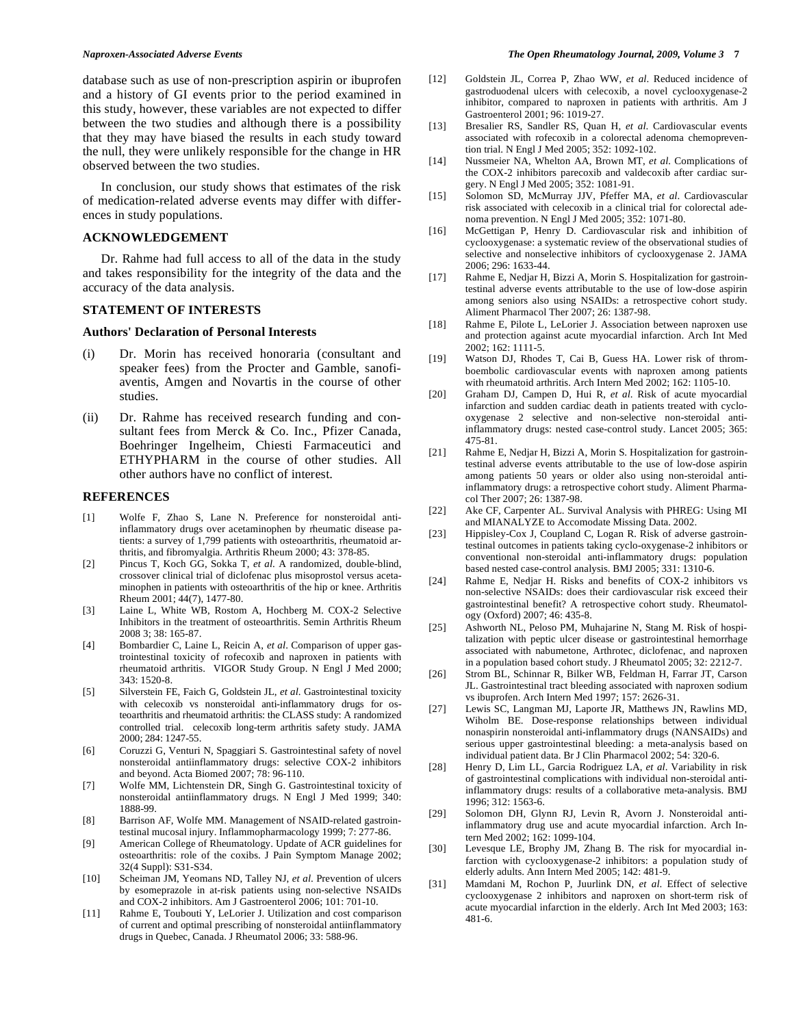database such as use of non-prescription aspirin or ibuprofen and a history of GI events prior to the period examined in this study, however, these variables are not expected to differ between the two studies and although there is a possibility that they may have biased the results in each study toward the null, they were unlikely responsible for the change in HR observed between the two studies.

 In conclusion, our study shows that estimates of the risk of medication-related adverse events may differ with differences in study populations.

# **ACKNOWLEDGEMENT**

 Dr. Rahme had full access to all of the data in the study and takes responsibility for the integrity of the data and the accuracy of the data analysis.

#### **STATEMENT OF INTERESTS**

#### **Authors' Declaration of Personal Interests**

- (i) Dr. Morin has received honoraria (consultant and speaker fees) from the Procter and Gamble, sanofiaventis, Amgen and Novartis in the course of other studies.
- (ii) Dr. Rahme has received research funding and consultant fees from Merck & Co. Inc., Pfizer Canada, Boehringer Ingelheim, Chiesti Farmaceutici and ETHYPHARM in the course of other studies. All other authors have no conflict of interest.

# **REFERENCES**

- [1] Wolfe F, Zhao S, Lane N. Preference for nonsteroidal antiinflammatory drugs over acetaminophen by rheumatic disease patients: a survey of 1,799 patients with osteoarthritis, rheumatoid arthritis, and fibromyalgia. Arthritis Rheum 2000; 43: 378-85.
- [2] Pincus T, Koch GG, Sokka T, *et al*. A randomized, double-blind, crossover clinical trial of diclofenac plus misoprostol versus acetaminophen in patients with osteoarthritis of the hip or knee. Arthritis Rheum 2001; 44(7), 1477-80.
- [3] Laine L, White WB, Rostom A, Hochberg M. COX-2 Selective Inhibitors in the treatment of osteoarthritis. Semin Arthritis Rheum 2008 3; 38: 165-87.
- [4] Bombardier C, Laine L, Reicin A, *et al*. Comparison of upper gastrointestinal toxicity of rofecoxib and naproxen in patients with rheumatoid arthritis. VIGOR Study Group. N Engl J Med 2000; 343: 1520-8.
- [5] Silverstein FE, Faich G, Goldstein JL, *et al*. Gastrointestinal toxicity with celecoxib vs nonsteroidal anti-inflammatory drugs for osteoarthritis and rheumatoid arthritis: the CLASS study: A randomized controlled trial. celecoxib long-term arthritis safety study. JAMA 2000; 284: 1247-55.
- [6] Coruzzi G, Venturi N, Spaggiari S. Gastrointestinal safety of novel nonsteroidal antiinflammatory drugs: selective COX-2 inhibitors and beyond. Acta Biomed 2007; 78: 96-110.
- [7] Wolfe MM, Lichtenstein DR, Singh G. Gastrointestinal toxicity of nonsteroidal antiinflammatory drugs. N Engl J Med 1999; 340: 1888-99.
- [8] Barrison AF, Wolfe MM. Management of NSAID-related gastrointestinal mucosal injury. Inflammopharmacology 1999; 7: 277-86.
- [9] American College of Rheumatology. Update of ACR guidelines for osteoarthritis: role of the coxibs. J Pain Symptom Manage 2002; 32(4 Suppl): S31-S34.
- [10] Scheiman JM, Yeomans ND, Talley NJ, *et al*. Prevention of ulcers by esomeprazole in at-risk patients using non-selective NSAIDs and COX-2 inhibitors. Am J Gastroenterol 2006; 101: 701-10.
- [11] Rahme E, Toubouti Y, LeLorier J. Utilization and cost comparison of current and optimal prescribing of nonsteroidal antiinflammatory drugs in Quebec, Canada. J Rheumatol 2006; 33: 588-96.
- [12] Goldstein JL, Correa P, Zhao WW, *et al*. Reduced incidence of gastroduodenal ulcers with celecoxib, a novel cyclooxygenase-2 inhibitor, compared to naproxen in patients with arthritis. Am J Gastroenterol 2001; 96: 1019-27.
- [13] Bresalier RS, Sandler RS, Quan H, *et al*. Cardiovascular events associated with rofecoxib in a colorectal adenoma chemoprevention trial. N Engl J Med 2005; 352: 1092-102.
- [14] Nussmeier NA, Whelton AA, Brown MT, *et al*. Complications of the COX-2 inhibitors parecoxib and valdecoxib after cardiac surgery. N Engl J Med 2005; 352: 1081-91.
- [15] Solomon SD, McMurray JJV, Pfeffer MA, *et al*. Cardiovascular risk associated with celecoxib in a clinical trial for colorectal adenoma prevention. N Engl J Med 2005; 352: 1071-80.
- [16] McGettigan P, Henry D. Cardiovascular risk and inhibition of cyclooxygenase: a systematic review of the observational studies of selective and nonselective inhibitors of cyclooxygenase 2. JAMA 2006; 296: 1633-44.
- [17] Rahme E, Nedjar H, Bizzi A, Morin S. Hospitalization for gastrointestinal adverse events attributable to the use of low-dose aspirin among seniors also using NSAIDs: a retrospective cohort study. Aliment Pharmacol Ther 2007; 26: 1387-98.
- [18] Rahme E, Pilote L, LeLorier J. Association between naproxen use and protection against acute myocardial infarction. Arch Int Med 2002; 162: 1111-5.
- [19] Watson DJ, Rhodes T, Cai B, Guess HA. Lower risk of thromboembolic cardiovascular events with naproxen among patients with rheumatoid arthritis. Arch Intern Med 2002; 162: 1105-10.
- [20] Graham DJ, Campen D, Hui R, *et al*. Risk of acute myocardial infarction and sudden cardiac death in patients treated with cyclooxygenase 2 selective and non-selective non-steroidal antiinflammatory drugs: nested case-control study. Lancet 2005; 365: 475-81.
- [21] Rahme E, Nedjar H, Bizzi A, Morin S. Hospitalization for gastrointestinal adverse events attributable to the use of low-dose aspirin among patients 50 years or older also using non-steroidal antiinflammatory drugs: a retrospective cohort study. Aliment Pharmacol Ther 2007; 26: 1387-98.
- [22] Ake CF, Carpenter AL. Survival Analysis with PHREG: Using MI and MIANALYZE to Accomodate Missing Data. 2002.
- [23] Hippisley-Cox J, Coupland C, Logan R. Risk of adverse gastrointestinal outcomes in patients taking cyclo-oxygenase-2 inhibitors or conventional non-steroidal anti-inflammatory drugs: population based nested case-control analysis. BMJ 2005; 331: 1310-6.
- [24] Rahme E, Nedjar H. Risks and benefits of COX-2 inhibitors vs non-selective NSAIDs: does their cardiovascular risk exceed their gastrointestinal benefit? A retrospective cohort study. Rheumatology (Oxford) 2007; 46: 435-8.
- [25] Ashworth NL, Peloso PM, Muhajarine N, Stang M. Risk of hospitalization with peptic ulcer disease or gastrointestinal hemorrhage associated with nabumetone, Arthrotec, diclofenac, and naproxen in a population based cohort study. J Rheumatol 2005; 32: 2212-7.
- [26] Strom BL, Schinnar R, Bilker WB, Feldman H, Farrar JT, Carson JL. Gastrointestinal tract bleeding associated with naproxen sodium vs ibuprofen. Arch Intern Med 1997; 157: 2626-31.
- [27] Lewis SC, Langman MJ, Laporte JR, Matthews JN, Rawlins MD, Wiholm BE. Dose-response relationships between individual nonaspirin nonsteroidal anti-inflammatory drugs (NANSAIDs) and serious upper gastrointestinal bleeding: a meta-analysis based on individual patient data. Br J Clin Pharmacol 2002; 54: 320-6.
- [28] Henry D, Lim LL, Garcia Rodriguez LA, *et al*. Variability in risk of gastrointestinal complications with individual non-steroidal antiinflammatory drugs: results of a collaborative meta-analysis. BMJ 1996; 312: 1563-6.
- [29] Solomon DH, Glynn RJ, Levin R, Avorn J. Nonsteroidal antiinflammatory drug use and acute myocardial infarction. Arch Intern Med 2002; 162: 1099-104.
- [30] Levesque LE, Brophy JM, Zhang B. The risk for myocardial infarction with cyclooxygenase-2 inhibitors: a population study of elderly adults. Ann Intern Med 2005; 142: 481-9.
- [31] Mamdani M, Rochon P, Juurlink DN, *et al*. Effect of selective cyclooxygenase 2 inhibitors and naproxen on short-term risk of acute myocardial infarction in the elderly. Arch Int Med 2003; 163: 481-6.